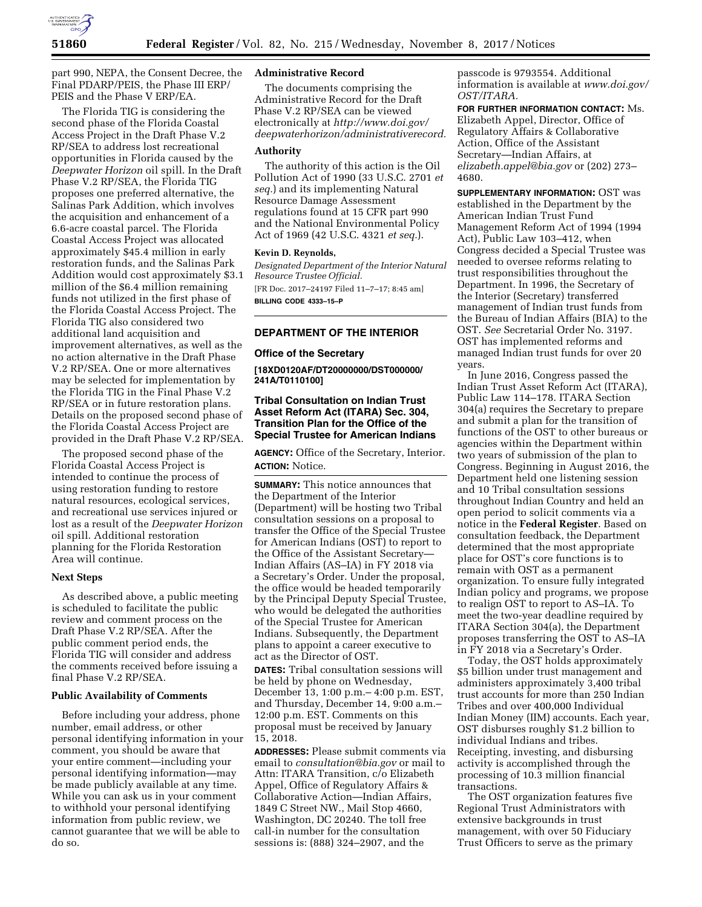

part 990, NEPA, the Consent Decree, the Final PDARP/PEIS, the Phase III ERP/ PEIS and the Phase V ERP/EA.

The Florida TIG is considering the second phase of the Florida Coastal Access Project in the Draft Phase V.2 RP/SEA to address lost recreational opportunities in Florida caused by the *Deepwater Horizon* oil spill. In the Draft Phase V.2 RP/SEA, the Florida TIG proposes one preferred alternative, the Salinas Park Addition, which involves the acquisition and enhancement of a 6.6-acre coastal parcel. The Florida Coastal Access Project was allocated approximately \$45.4 million in early restoration funds, and the Salinas Park Addition would cost approximately \$3.1 million of the \$6.4 million remaining funds not utilized in the first phase of the Florida Coastal Access Project. The Florida TIG also considered two additional land acquisition and improvement alternatives, as well as the no action alternative in the Draft Phase V.2 RP/SEA. One or more alternatives may be selected for implementation by the Florida TIG in the Final Phase V.2 RP/SEA or in future restoration plans. Details on the proposed second phase of the Florida Coastal Access Project are provided in the Draft Phase V.2 RP/SEA.

The proposed second phase of the Florida Coastal Access Project is intended to continue the process of using restoration funding to restore natural resources, ecological services, and recreational use services injured or lost as a result of the *Deepwater Horizon*  oil spill. Additional restoration planning for the Florida Restoration Area will continue.

### **Next Steps**

As described above, a public meeting is scheduled to facilitate the public review and comment process on the Draft Phase V.2 RP/SEA. After the public comment period ends, the Florida TIG will consider and address the comments received before issuing a final Phase V.2 RP/SEA.

#### **Public Availability of Comments**

Before including your address, phone number, email address, or other personal identifying information in your comment, you should be aware that your entire comment—including your personal identifying information—may be made publicly available at any time. While you can ask us in your comment to withhold your personal identifying information from public review, we cannot guarantee that we will be able to do so.

## **Administrative Record**

The documents comprising the Administrative Record for the Draft Phase V.2 RP/SEA can be viewed electronically at *[http://www.doi.gov/](http://www.doi.gov/deepwaterhorizon/administrativerecord) [deepwaterhorizon/administrativerecord.](http://www.doi.gov/deepwaterhorizon/administrativerecord)* 

## **Authority**

The authority of this action is the Oil Pollution Act of 1990 (33 U.S.C. 2701 *et seq.*) and its implementing Natural Resource Damage Assessment regulations found at 15 CFR part 990 and the National Environmental Policy Act of 1969 (42 U.S.C. 4321 *et seq.*).

#### **Kevin D. Reynolds,**

*Designated Department of the Interior Natural Resource Trustee Official.*  [FR Doc. 2017–24197 Filed 11–7–17; 8:45 am] **BILLING CODE 4333–15–P** 

# **DEPARTMENT OF THE INTERIOR**

### **Office of the Secretary**

**[18XD0120AF/DT20000000/DST000000/ 241A/T0110100]** 

## **Tribal Consultation on Indian Trust Asset Reform Act (ITARA) Sec. 304, Transition Plan for the Office of the Special Trustee for American Indians**

**AGENCY:** Office of the Secretary, Interior. **ACTION:** Notice.

**SUMMARY:** This notice announces that the Department of the Interior (Department) will be hosting two Tribal consultation sessions on a proposal to transfer the Office of the Special Trustee for American Indians (OST) to report to the Office of the Assistant Secretary— Indian Affairs (AS–IA) in FY 2018 via a Secretary's Order. Under the proposal, the office would be headed temporarily by the Principal Deputy Special Trustee, who would be delegated the authorities of the Special Trustee for American Indians. Subsequently, the Department plans to appoint a career executive to act as the Director of OST.

**DATES:** Tribal consultation sessions will be held by phone on Wednesday, December 13, 1:00 p.m.– 4:00 p.m. EST, and Thursday, December 14, 9:00 a.m.– 12:00 p.m. EST. Comments on this proposal must be received by January 15, 2018.

**ADDRESSES:** Please submit comments via email to *[consultation@bia.gov](mailto:consultation@bia.gov)* or mail to Attn: ITARA Transition, c/o Elizabeth Appel, Office of Regulatory Affairs & Collaborative Action—Indian Affairs, 1849 C Street NW., Mail Stop 4660, Washington, DC 20240. The toll free call-in number for the consultation sessions is: (888) 324–2907, and the

passcode is 9793554. Additional information is available at *[www.doi.gov/](http://www.doi.gov/OST/ITARA)  [OST/ITARA.](http://www.doi.gov/OST/ITARA)* 

**FOR FURTHER INFORMATION CONTACT:** Ms. Elizabeth Appel, Director, Office of Regulatory Affairs & Collaborative Action, Office of the Assistant Secretary—Indian Affairs, at *[elizabeth.appel@bia.gov](mailto:elizabeth.appel@bia.gov)* or (202) 273– 4680.

**SUPPLEMENTARY INFORMATION:** OST was established in the Department by the American Indian Trust Fund Management Reform Act of 1994 (1994 Act), Public Law 103–412, when Congress decided a Special Trustee was needed to oversee reforms relating to trust responsibilities throughout the Department. In 1996, the Secretary of the Interior (Secretary) transferred management of Indian trust funds from the Bureau of Indian Affairs (BIA) to the OST. *See* Secretarial Order No. 3197. OST has implemented reforms and managed Indian trust funds for over 20 years.

In June 2016, Congress passed the Indian Trust Asset Reform Act (ITARA), Public Law 114–178. ITARA Section 304(a) requires the Secretary to prepare and submit a plan for the transition of functions of the OST to other bureaus or agencies within the Department within two years of submission of the plan to Congress. Beginning in August 2016, the Department held one listening session and 10 Tribal consultation sessions throughout Indian Country and held an open period to solicit comments via a notice in the **Federal Register**. Based on consultation feedback, the Department determined that the most appropriate place for OST's core functions is to remain with OST as a permanent organization. To ensure fully integrated Indian policy and programs, we propose to realign OST to report to AS–IA. To meet the two-year deadline required by ITARA Section 304(a), the Department proposes transferring the OST to AS–IA in FY 2018 via a Secretary's Order.

Today, the OST holds approximately \$5 billion under trust management and administers approximately 3,400 tribal trust accounts for more than 250 Indian Tribes and over 400,000 Individual Indian Money (IIM) accounts. Each year, OST disburses roughly \$1.2 billion to individual Indians and tribes. Receipting, investing, and disbursing activity is accomplished through the processing of 10.3 million financial transactions.

The OST organization features five Regional Trust Administrators with extensive backgrounds in trust management, with over 50 Fiduciary Trust Officers to serve as the primary